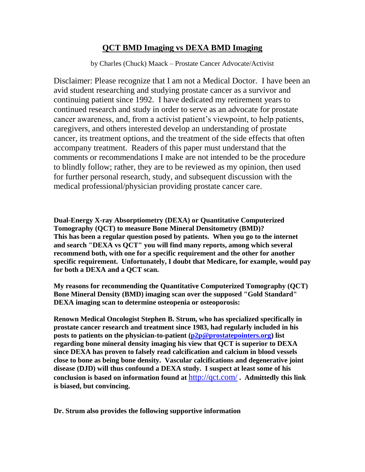# **QCT BMD Imaging vs DEXA BMD Imaging**

by Charles (Chuck) Maack – Prostate Cancer Advocate/Activist

Disclaimer: Please recognize that I am not a Medical Doctor. I have been an avid student researching and studying prostate cancer as a survivor and continuing patient since 1992. I have dedicated my retirement years to continued research and study in order to serve as an advocate for prostate cancer awareness, and, from a activist patient's viewpoint, to help patients, caregivers, and others interested develop an understanding of prostate cancer, its treatment options, and the treatment of the side effects that often accompany treatment. Readers of this paper must understand that the comments or recommendations I make are not intended to be the procedure to blindly follow; rather, they are to be reviewed as my opinion, then used for further personal research, study, and subsequent discussion with the medical professional/physician providing prostate cancer care.

**Dual-Energy X-ray Absorptiometry (DEXA) or Quantitative Computerized Tomography (QCT) to measure Bone Mineral Densitometry (BMD)? This has been a regular question posed by patients. When you go to the internet and search "DEXA vs QCT" you will find many reports, among which several recommend both, with one for a specific requirement and the other for another specific requirement. Unfortunately, I doubt that Medicare, for example, would pay for both a DEXA and a QCT scan.**

**My reasons for recommending the Quantitative Computerized Tomography (QCT) Bone Mineral Density (BMD) imaging scan over the supposed "Gold Standard" DEXA imaging scan to determine osteopenia or osteoporosis:**

**Renown Medical Oncologist Stephen B. Strum, who has specialized specifically in prostate cancer research and treatment since 1983, had regularly included in his posts to patients on the physician-to-patient [\(p2p@prostatepointers.org\)](mailto:p2p@prostatepointers.org) list regarding bone mineral density imaging his view that QCT is superior to DEXA since DEXA has proven to falsely read calcification and calcium in blood vessels close to bone as being bone density. Vascular calcifications and degenerative joint disease (DJD) will thus confound a DEXA study. I suspect at least some of his conclusion is based on information found at** <http://qct.com/> **. Admittedly this link is biased, but convincing.**

**Dr. Strum also provides the following supportive information**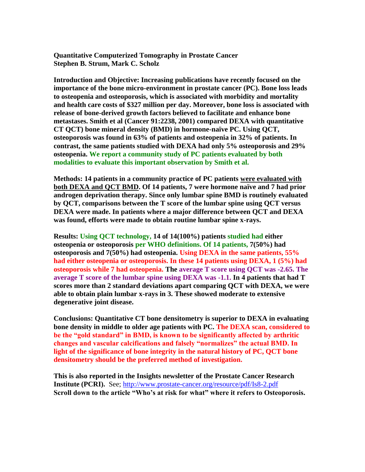**Quantitative Computerized Tomography in Prostate Cancer Stephen B. Strum, Mark C. Scholz**

**Introduction and Objective: Increasing publications have recently focused on the importance of the bone micro-environment in prostate cancer (PC). Bone loss leads to osteopenia and osteoporosis, which is associated with morbidity and mortality and health care costs of \$327 million per day. Moreover, bone loss is associated with release of bone-derived growth factors believed to facilitate and enhance bone metastases. Smith et al (Cancer 91:2238, 2001) compared DEXA with quantitative CT QCT) bone mineral density (BMD) in hormone-naïve PC. Using QCT, osteoporosis was found in 63% of patients and osteopenia in 32% of patients. In contrast, the same patients studied with DEXA had only 5% osteoporosis and 29% osteopenia. We report a community study of PC patients evaluated by both modalities to evaluate this important observation by Smith et al.** 

**Methods: 14 patients in a community practice of PC patients were evaluated with both DEXA and QCT BMD. Of 14 patients, 7 were hormone naïve and 7 had prior androgen deprivation therapy. Since only lumbar spine BMD is routinely evaluated by QCT, comparisons between the T score of the lumbar spine using QCT versus DEXA were made. In patients where a major difference between QCT and DEXA was found, efforts were made to obtain routine lumbar spine x-rays.** 

**Results: Using QCT technology, 14 of 14(100%) patients studied had either osteopenia or osteoporosis per WHO definitions. Of 14 patients, 7(50%) had osteoporosis and 7(50%) had osteopenia. Using DEXA in the same patients, 55% had either osteopenia or osteoporosis. In these 14 patients using DEXA, 1 (5%) had osteoporosis while 7 had osteopenia. The average T score using QCT was -2.65. The average T score of the lumbar spine using DEXA was -1.1. In 4 patients that had T scores more than 2 standard deviations apart comparing QCT with DEXA, we were able to obtain plain lumbar x-rays in 3. These showed moderate to extensive degenerative joint disease.** 

**Conclusions: Quantitative CT bone densitometry is superior to DEXA in evaluating bone density in middle to older age patients with PC. The DEXA scan, considered to be the "gold standard" in BMD, is known to be significantly affected by arthritic changes and vascular calcifications and falsely "normalizes" the actual BMD. In light of the significance of bone integrity in the natural history of PC, QCT bone densitometry should be the preferred method of investigation.**

**This is also reported in the Insights newsletter of the Prostate Cancer Research Institute (PCRI).** See;<http://www.prostate-cancer.org/resource/pdf/Is8-2.pdf> **Scroll down to the article "Who's at risk for what" where it refers to Osteoporosis.**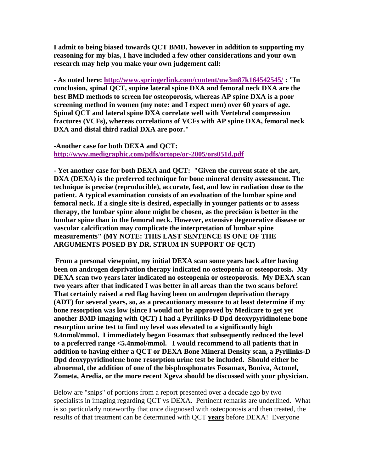**I admit to being biased towards QCT BMD, however in addition to supporting my reasoning for my bias, I have included a few other considerations and your own research may help you make your own judgement call:**

**- As noted here:<http://www.springerlink.com/content/uw3m87k164542545/> : "In conclusion, spinal QCT, supine lateral spine DXA and femoral neck DXA are the best BMD methods to screen for osteoporosis, whereas AP spine DXA is a poor screening method in women (my note: and I expect men) over 60 years of age. Spinal QCT and lateral spine DXA correlate well with Vertebral compression fractures (VCFs), whereas correlations of VCFs with AP spine DXA, femoral neck DXA and distal third radial DXA are poor."**

**-Another case for both DEXA and QCT: <http://www.medigraphic.com/pdfs/ortope/or-2005/ors051d.pdf>**

**- Yet another case for both DEXA and QCT: "Given the current state of the art, DXA (DEXA) is the preferred technique for bone mineral density assessment. The technique is precise (reproducible), accurate, fast, and low in radiation dose to the patient. A typical examination consists of an evaluation of the lumbar spine and femoral neck. If a single site is desired, especially in younger patients or to assess therapy, the lumbar spine alone might be chosen, as the precision is better in the lumbar spine than in the femoral neck. However, extensive degenerative disease or vascular calcification may complicate the interpretation of lumbar spine measurements" (MY NOTE: THIS LAST SENTENCE IS ONE OF THE ARGUMENTS POSED BY DR. STRUM IN SUPPORT OF QCT)**

**From a personal viewpoint, my initial DEXA scan some years back after having been on androgen deprivation therapy indicated no osteopenia or osteoporosis. My DEXA scan two years later indicated no osteopenia or osteoporosis. My DEXA scan two years after that indicated I was better in all areas than the two scans before! That certainly raised a red flag having been on androgen deprivation therapy (ADT) for several years, so, as a precautionary measure to at least determine if my bone resorption was low (since I would not be approved by Medicare to get yet another BMD imaging with QCT) I had a Pyrilinks-D Dpd deoxypyridinolene bone resorption urine test to find my level was elevated to a significantly high 9.4nmol/mmol. I immediately began Fosamax that subsequently reduced the level to a preferred range <5.4nmol/mmol. I would recommend to all patients that in addition to having either a QCT or DEXA Bone Mineral Density scan, a Pyrilinks-D Dpd deoxypyridinolene bone resorption urine test be included. Should either be abnormal, the addition of one of the bisphosphonates Fosamax, Boniva, Actonel, Zometa, Aredia, or the more recent Xgeva should be discussed with your physician.**

Below are "snips" of portions from a report presented over a decade ago by two specialists in imaging regarding QCT vs DEXA. Pertinent remarks are underlined. What is so particularly noteworthy that once diagnosed with osteoporosis and then treated, the results of that treatment can be determined with QCT **years** before DEXA! Everyone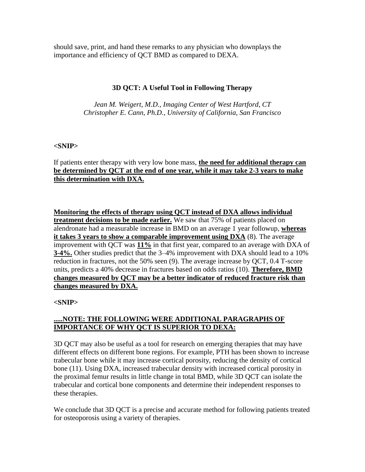should save, print, and hand these remarks to any physician who downplays the importance and efficiency of QCT BMD as compared to DEXA.

## **3D QCT: A Useful Tool in Following Therapy**

*Jean M. Weigert, M.D., Imaging Center of West Hartford, CT Christopher E. Cann, Ph.D., University of California, San Francisco*

#### **<SNIP>**

If patients enter therapy with very low bone mass, **the need for additional therapy can be determined by QCT at the end of one year, while it may take 2-3 years to make this determination with DXA.**

**Monitoring the effects of therapy using QCT instead of DXA allows individual treatment decisions to be made earlier.** We saw that 75% of patients placed on alendronate had a measurable increase in BMD on an average 1 year followup, **whereas it takes 3 years to show a comparable improvement using DXA** (8). The average improvement with QCT was **11%** in that first year, compared to an average with DXA of **3-4%.** Other studies predict that the 3–4% improvement with DXA should lead to a 10% reduction in fractures, not the 50% seen (9). The average increase by QCT, 0.4 T-score units, predicts a 40% decrease in fractures based on odds ratios (10). **Therefore, BMD changes measured by QCT may be a better indicator of reduced fracture risk than changes measured by DXA.**

## **<SNIP>**

## **.....NOTE: THE FOLLOWING WERE ADDITIONAL PARAGRAPHS OF IMPORTANCE OF WHY QCT IS SUPERIOR TO DEXA:**

3D QCT may also be useful as a tool for research on emerging therapies that may have different effects on different bone regions. For example, PTH has been shown to increase trabecular bone while it may increase cortical porosity, reducing the density of cortical bone (11). Using DXA, increased trabecular density with increased cortical porosity in the proximal femur results in little change in total BMD, while 3D QCT can isolate the trabecular and cortical bone components and determine their independent responses to these therapies.

We conclude that 3D QCT is a precise and accurate method for following patients treated for osteoporosis using a variety of therapies.